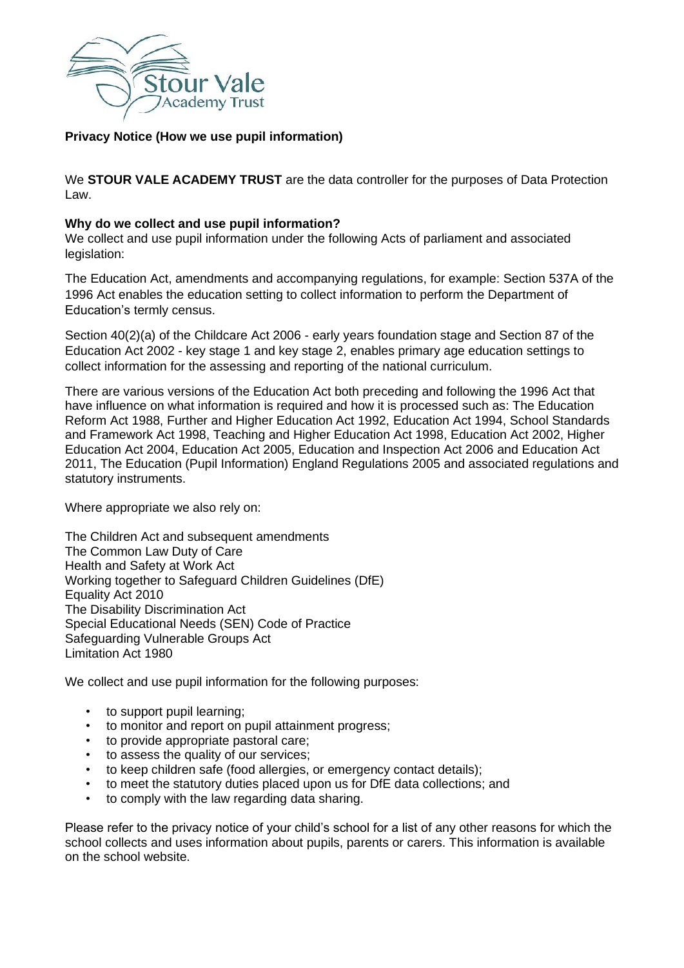

## **Privacy Notice (How we use pupil information)**

We **STOUR VALE ACADEMY TRUST** are the data controller for the purposes of Data Protection Law.

#### **Why do we collect and use pupil information?**

We collect and use pupil information under the following Acts of parliament and associated legislation:

The Education Act, amendments and accompanying regulations, for example: Section 537A of the 1996 Act enables the education setting to collect information to perform the Department of Education's termly census.

Section 40(2)(a) of the Childcare Act 2006 - early years foundation stage and Section 87 of the Education Act 2002 - key stage 1 and key stage 2, enables primary age education settings to collect information for the assessing and reporting of the national curriculum.

There are various versions of the Education Act both preceding and following the 1996 Act that have influence on what information is required and how it is processed such as: The Education Reform Act 1988, Further and Higher Education Act 1992, Education Act 1994, School Standards and Framework Act 1998, Teaching and Higher Education Act 1998, Education Act 2002, Higher Education Act 2004, Education Act 2005, Education and Inspection Act 2006 and Education Act 2011, The Education (Pupil Information) England Regulations 2005 and associated regulations and statutory instruments.

Where appropriate we also rely on:

The Children Act and subsequent amendments The Common Law Duty of Care Health and Safety at Work Act Working together to Safeguard Children Guidelines (DfE) Equality Act 2010 The Disability Discrimination Act Special Educational Needs (SEN) Code of Practice Safeguarding Vulnerable Groups Act Limitation Act 1980

We collect and use pupil information for the following purposes:

- to support pupil learning;
- to monitor and report on pupil attainment progress:
- to provide appropriate pastoral care;
- to assess the quality of our services;
- to keep children safe (food allergies, or emergency contact details);
- to meet the statutory duties placed upon us for DfE data collections; and
- to comply with the law regarding data sharing.

Please refer to the privacy notice of your child's school for a list of any other reasons for which the school collects and uses information about pupils, parents or carers. This information is available on the school website.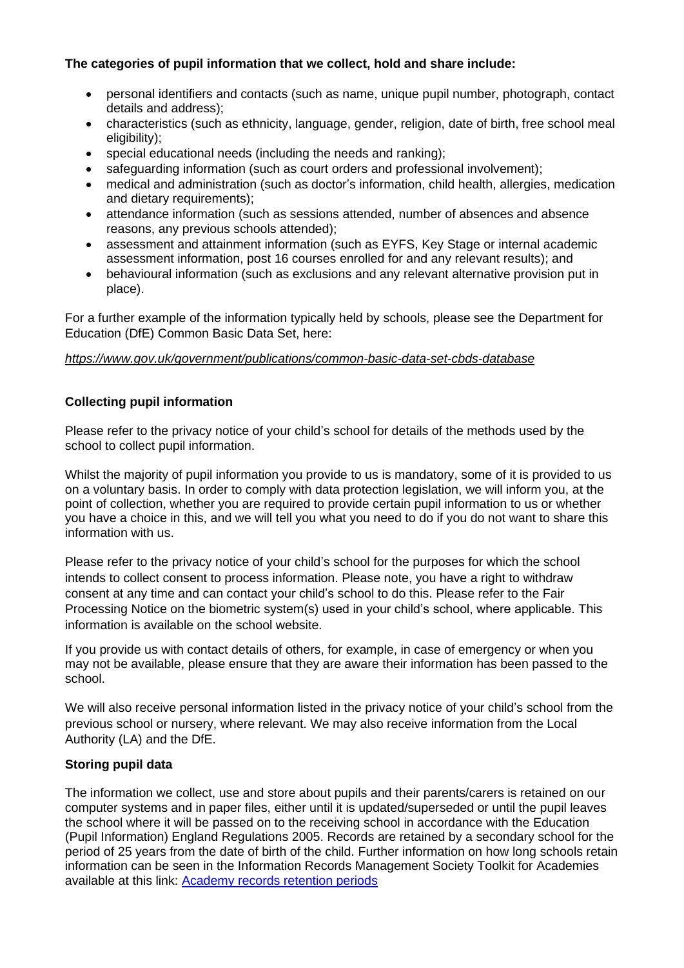# **The categories of pupil information that we collect, hold and share include:**

- personal identifiers and contacts (such as name, unique pupil number, photograph, contact details and address);
- characteristics (such as ethnicity, language, gender, religion, date of birth, free school meal eligibility):
- special educational needs (including the needs and ranking);
- safeguarding information (such as court orders and professional involvement);
- medical and administration (such as doctor's information, child health, allergies, medication and dietary requirements);
- attendance information (such as sessions attended, number of absences and absence reasons, any previous schools attended);
- assessment and attainment information (such as EYFS, Key Stage or internal academic assessment information, post 16 courses enrolled for and any relevant results); and
- behavioural information (such as exclusions and any relevant alternative provision put in place).

For a further example of the information typically held by schools, please see the Department for Education (DfE) Common Basic Data Set, here:

## *<https://www.gov.uk/government/publications/common-basic-data-set-cbds-database>*

## **Collecting pupil information**

Please refer to the privacy notice of your child's school for details of the methods used by the school to collect pupil information.

Whilst the majority of pupil information you provide to us is mandatory, some of it is provided to us on a voluntary basis. In order to comply with data protection legislation, we will inform you, at the point of collection, whether you are required to provide certain pupil information to us or whether you have a choice in this, and we will tell you what you need to do if you do not want to share this information with us.

Please refer to the privacy notice of your child's school for the purposes for which the school intends to collect consent to process information. Please note, you have a right to withdraw consent at any time and can contact your child's school to do this. Please refer to the Fair Processing Notice on the biometric system(s) used in your child's school, where applicable. This information is available on the school website.

If you provide us with contact details of others, for example, in case of emergency or when you may not be available, please ensure that they are aware their information has been passed to the school.

We will also receive personal information listed in the privacy notice of your child's school from the previous school or nursery, where relevant. We may also receive information from the Local Authority (LA) and the DfE.

# **Storing pupil data**

The information we collect, use and store about pupils and their parents/carers is retained on our computer systems and in paper files, either until it is updated/superseded or until the pupil leaves the school where it will be passed on to the receiving school in accordance with the Education (Pupil Information) England Regulations 2005. Records are retained by a secondary school for the period of 25 years from the date of birth of the child. Further information on how long schools retain information can be seen in the Information Records Management Society Toolkit for Academies available at this link: Academy [records retention periods](https://irms.org.uk/page/AcademiesToolkit)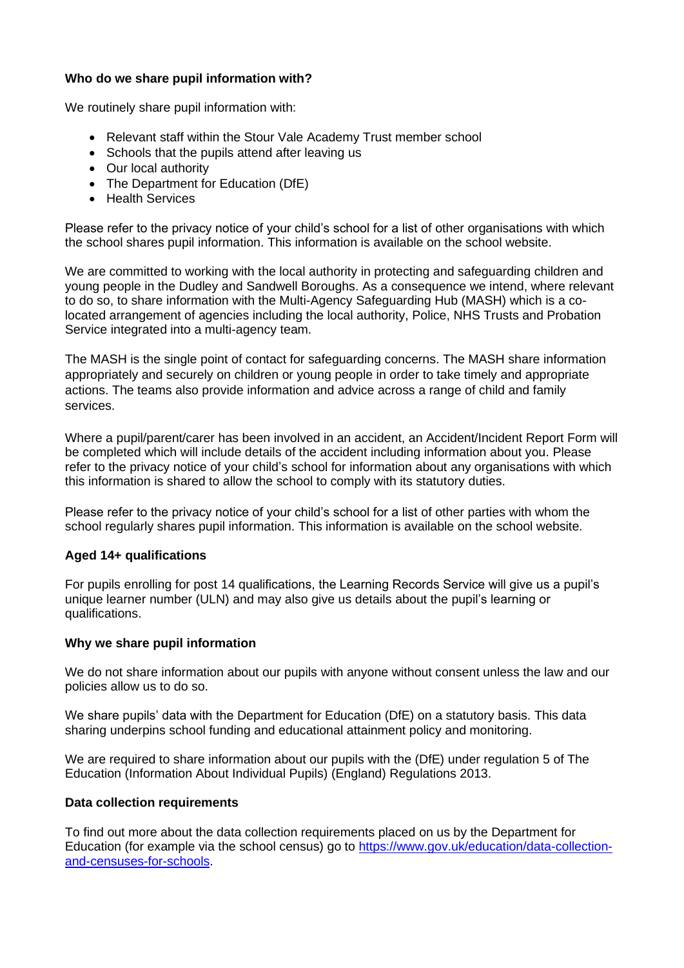## **Who do we share pupil information with?**

We routinely share pupil information with:

- Relevant staff within the Stour Vale Academy Trust member school
- Schools that the pupils attend after leaving us
- Our local authority
- The Department for Education (DfE)
- Health Services

Please refer to the privacy notice of your child's school for a list of other organisations with which the school shares pupil information. This information is available on the school website.

We are committed to working with the local authority in protecting and safeguarding children and young people in the Dudley and Sandwell Boroughs. As a consequence we intend, where relevant to do so, to share information with the Multi-Agency Safeguarding Hub (MASH) which is a colocated arrangement of agencies including the local authority, Police, NHS Trusts and Probation Service integrated into a multi-agency team.

The MASH is the single point of contact for safeguarding concerns. The MASH share information appropriately and securely on children or young people in order to take timely and appropriate actions. The teams also provide information and advice across a range of child and family services.

Where a pupil/parent/carer has been involved in an accident, an Accident/Incident Report Form will be completed which will include details of the accident including information about you. Please refer to the privacy notice of your child's school for information about any organisations with which this information is shared to allow the school to comply with its statutory duties.

Please refer to the privacy notice of your child's school for a list of other parties with whom the school regularly shares pupil information. This information is available on the school website.

## **Aged 14+ qualifications**

For pupils enrolling for post 14 qualifications, the Learning Records Service will give us a pupil's unique learner number (ULN) and may also give us details about the pupil's learning or qualifications.

## **Why we share pupil information**

We do not share information about our pupils with anyone without consent unless the law and our policies allow us to do so.

We share pupils' data with the Department for Education (DfE) on a statutory basis. This data sharing underpins school funding and educational attainment policy and monitoring.

We are required to share information about our pupils with the (DfE) under regulation 5 of The Education (Information About Individual Pupils) (England) Regulations 2013.

## **Data collection requirements**

To find out more about the data collection requirements placed on us by the Department for Education (for example via the school census) go to [https://www.gov.uk/education/data-collection](https://www.gov.uk/education/data-collection-and-censuses-for-schools)[and-censuses-for-schools.](https://www.gov.uk/education/data-collection-and-censuses-for-schools)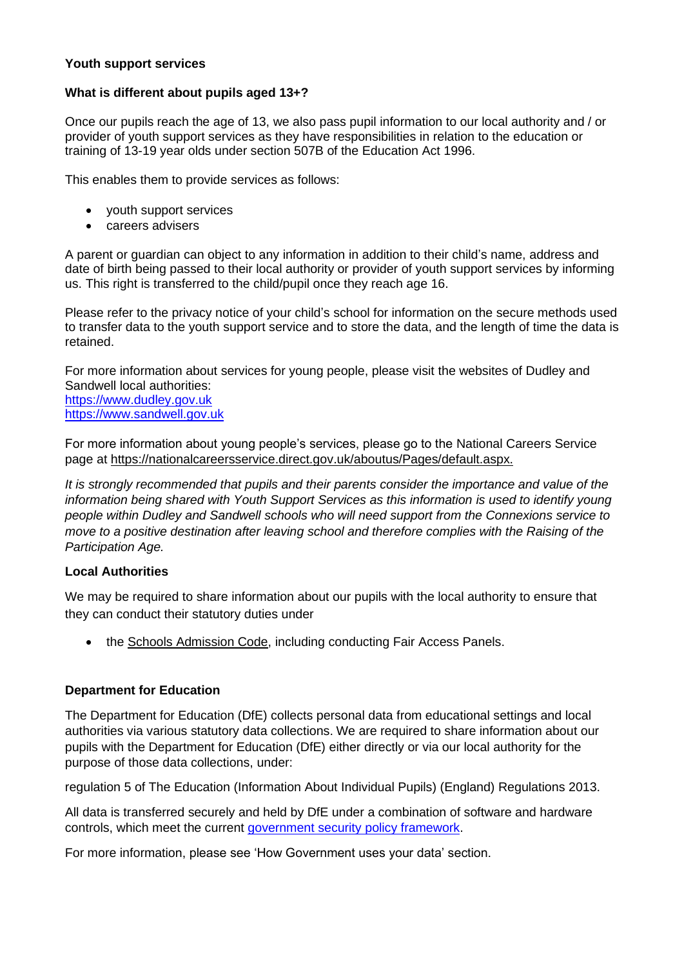## **Youth support services**

## **What is different about pupils aged 13+?**

Once our pupils reach the age of 13, we also pass pupil information to our local authority and / or provider of youth support services as they have responsibilities in relation to the education or training of 13-19 year olds under section 507B of the Education Act 1996.

This enables them to provide services as follows:

- youth support services
- careers advisers

A parent or guardian can object to any information in addition to their child's name, address and date of birth being passed to their local authority or provider of youth support services by informing us. This right is transferred to the child/pupil once they reach age 16.

Please refer to the privacy notice of your child's school for information on the secure methods used to transfer data to the youth support service and to store the data, and the length of time the data is retained.

For more information about services for young people, please visit the websites of Dudley and Sandwell local authorities: [https://www.dudley.gov.uk](https://www.dudley.gov.uk/) [https://www.sandwell.gov.uk](https://www.sandwell.gov.uk/)

For more information about young people's services, please go to the National Careers Service page at [https://nationalcareersservice.direct.gov.uk/aboutus/Pages/default.aspx.](https://nationalcareersservice.direct.gov.uk/aboutus/Pages/default.aspx)

*It is strongly recommended that pupils and their parents consider the importance and value of the information being shared with Youth Support Services as this information is used to identify young people within Dudley and Sandwell schools who will need support from the Connexions service to move to a positive destination after leaving school and therefore complies with the Raising of the Participation Age.*

# **Local Authorities**

We may be required to share information about our pupils with the local authority to ensure that they can conduct their statutory duties under

• the [Schools Admission Code,](https://www.gov.uk/government/publications/school-admissions-code--2) including conducting Fair Access Panels.

## **Department for Education**

The Department for Education (DfE) collects personal data from educational settings and local authorities via various statutory data collections. We are required to share information about our pupils with the Department for Education (DfE) either directly or via our local authority for the purpose of those data collections, under:

regulation 5 of The Education (Information About Individual Pupils) (England) Regulations 2013.

All data is transferred securely and held by DfE under a combination of software and hardware controls, which meet the current [government security policy framework.](https://www.gov.uk/government/publications/security-policy-framework)

For more information, please see 'How Government uses your data' section.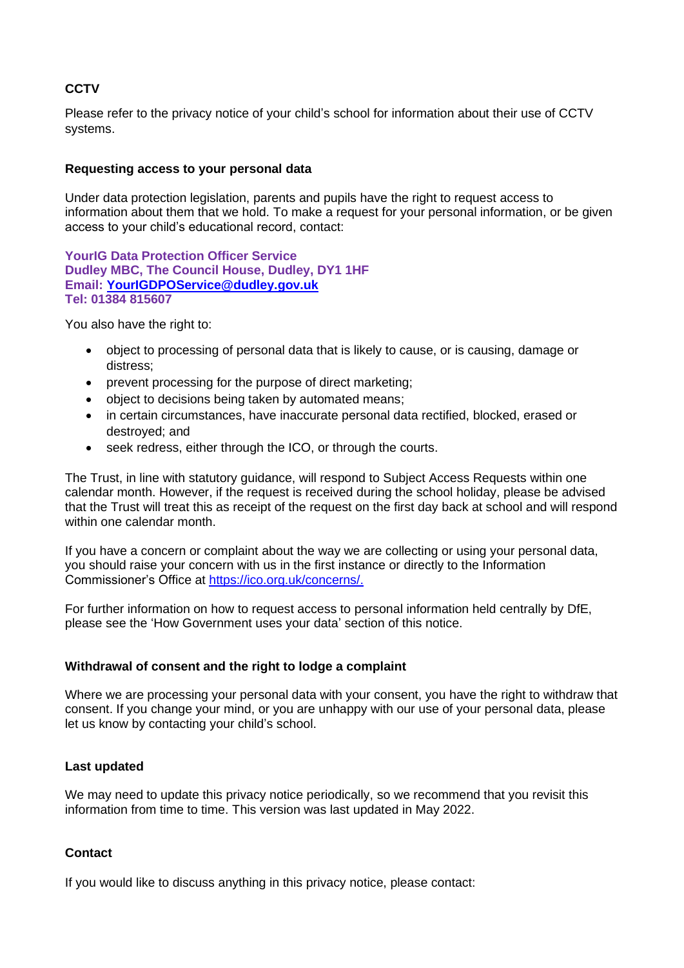## **CCTV**

Please refer to the privacy notice of your child's school for information about their use of CCTV systems.

#### **Requesting access to your personal data**

Under data protection legislation, parents and pupils have the right to request access to information about them that we hold. To make a request for your personal information, or be given access to your child's educational record, contact:

**YourIG Data Protection Officer Service Dudley MBC, The Council House, Dudley, DY1 1HF Email: [YourIGDPOService@dudley.gov.uk](mailto:YourIGDPOService@dudley.gov.uk) Tel: 01384 815607**

You also have the right to:

- object to processing of personal data that is likely to cause, or is causing, damage or distress;
- prevent processing for the purpose of direct marketing;
- object to decisions being taken by automated means;
- in certain circumstances, have inaccurate personal data rectified, blocked, erased or destroyed; and
- seek redress, either through the ICO, or through the courts.

The Trust, in line with statutory guidance, will respond to Subject Access Requests within one calendar month. However, if the request is received during the school holiday, please be advised that the Trust will treat this as receipt of the request on the first day back at school and will respond within one calendar month.

If you have a concern or complaint about the way we are collecting or using your personal data, you should raise your concern with us in the first instance or directly to the Information Commissioner's Office at [https://ico.org.uk/concerns/.](https://ico.org.uk/concerns/)

For further information on how to request access to personal information held centrally by DfE, please see the 'How Government uses your data' section of this notice.

## **Withdrawal of consent and the right to lodge a complaint**

Where we are processing your personal data with your consent, you have the right to withdraw that consent. If you change your mind, or you are unhappy with our use of your personal data, please let us know by contacting your child's school.

#### **Last updated**

We may need to update this privacy notice periodically, so we recommend that you revisit this information from time to time. This version was last updated in May 2022.

## **Contact**

If you would like to discuss anything in this privacy notice, please contact: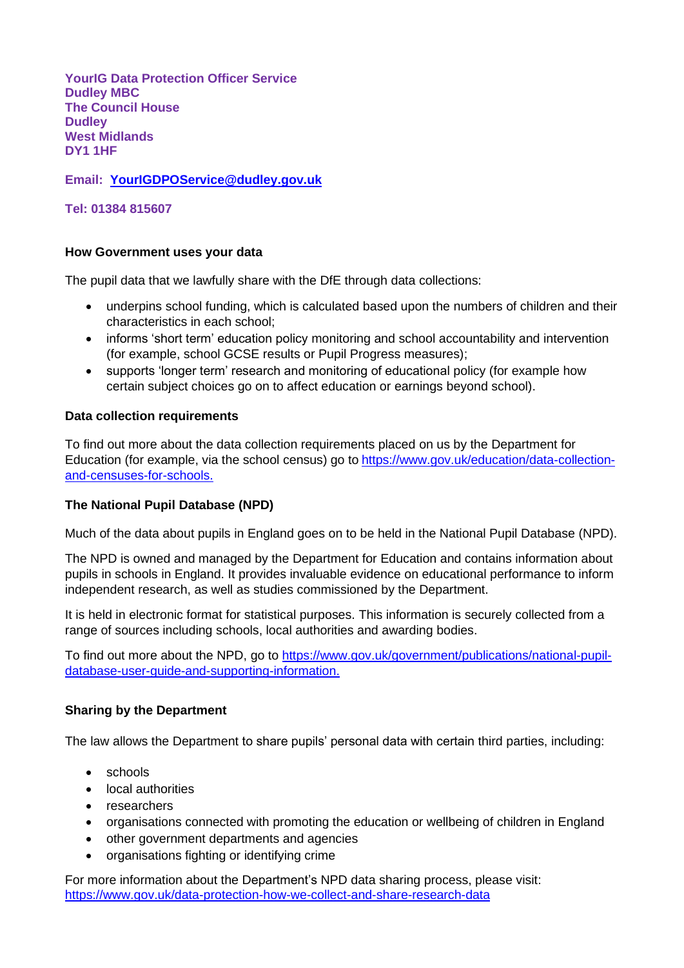**YourIG Data Protection Officer Service Dudley MBC The Council House Dudley West Midlands DY1 1HF**

## **Email: [YourIGDPOService@dudley.gov.uk](mailto:YourIGDPOService@dudley.gov.uk)**

## **Tel: 01384 815607**

## **How Government uses your data**

The pupil data that we lawfully share with the DfE through data collections:

- underpins school funding, which is calculated based upon the numbers of children and their characteristics in each school;
- informs 'short term' education policy monitoring and school accountability and intervention (for example, school GCSE results or Pupil Progress measures);
- supports 'longer term' research and monitoring of educational policy (for example how certain subject choices go on to affect education or earnings beyond school).

## **Data collection requirements**

To find out more about the data collection requirements placed on us by the Department for Education (for example, via the school census) go to [https://www.gov.uk/education/data-collection](https://www.gov.uk/education/data-collection-and-censuses-for-schools)[and-censuses-for-schools.](https://www.gov.uk/education/data-collection-and-censuses-for-schools)

## **The National Pupil Database (NPD)**

Much of the data about pupils in England goes on to be held in the National Pupil Database (NPD).

The NPD is owned and managed by the Department for Education and contains information about pupils in schools in England. It provides invaluable evidence on educational performance to inform independent research, as well as studies commissioned by the Department.

It is held in electronic format for statistical purposes. This information is securely collected from a range of sources including schools, local authorities and awarding bodies.

To find out more about the NPD, go to [https://www.gov.uk/government/publications/national-pupil](https://www.gov.uk/government/publications/national-pupil-database-user-guide-and-supporting-information)[database-user-guide-and-supporting-information.](https://www.gov.uk/government/publications/national-pupil-database-user-guide-and-supporting-information)

## **Sharing by the Department**

The law allows the Department to share pupils' personal data with certain third parties, including:

- schools
- local authorities
- researchers
- organisations connected with promoting the education or wellbeing of children in England
- other government departments and agencies
- organisations fighting or identifying crime

For more information about the Department's NPD data sharing process, please visit: <https://www.gov.uk/data-protection-how-we-collect-and-share-research-data>